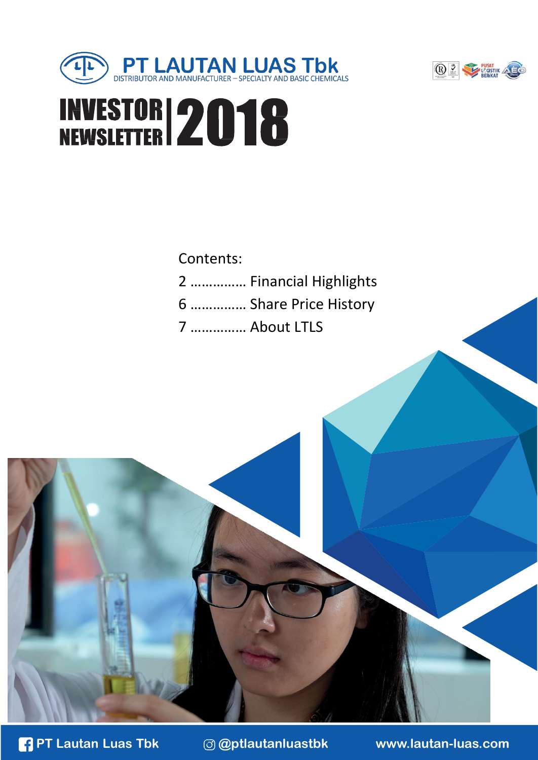



# **INVESTOR 2018**

#### Contents: 2 …………… Financial Highlights 6 …………… Share Price History 7 …………… About LTLS



**PT Lautan Luas Tbk @ptlautanluastbk [www.lautan-luas.com](http://www.lautan-luas.com/)**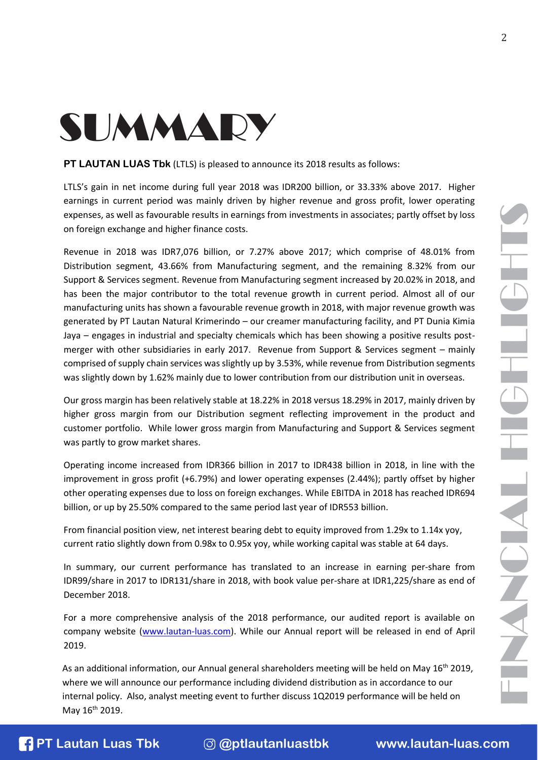2

## SUMMARY

**PT LAUTAN LUAS Tbk** (LTLS) is pleased to announce its 2018 results as follows:

LTLS's gain in net income during full year 2018 was IDR200 billion, or 33.33% above 2017. Higher earnings in current period was mainly driven by higher revenue and gross profit, lower operating expenses, as well as favourable results in earnings from investments in associates; partly offset by loss on foreign exchange and higher finance costs.

Revenue in 2018 was IDR7,076 billion, or 7.27% above 2017; which comprise of 48.01% from Distribution segment, 43.66% from Manufacturing segment, and the remaining 8.32% from our Support & Services segment. Revenue from Manufacturing segment increased by 20.02% in 2018, and has been the major contributor to the total revenue growth in current period. Almost all of our manufacturing units has shown a favourable revenue growth in 2018, with major revenue growth was generated by PT Lautan Natural Krimerindo – our creamer manufacturing facility, and PT Dunia Kimia Jaya – engages in industrial and specialty chemicals which has been showing a positive results postmerger with other subsidiaries in early 2017. Revenue from Support & Services segment – mainly comprised of supply chain services was slightly up by 3.53%, while revenue from Distribution segments was slightly down by 1.62% mainly due to lower contribution from our distribution unit in overseas.

Our gross margin has been relatively stable at 18.22% in 2018 versus 18.29% in 2017, mainly driven by higher gross margin from our Distribution segment reflecting improvement in the product and customer portfolio. While lower gross margin from Manufacturing and Support & Services segment was partly to grow market shares.

Operating income increased from IDR366 billion in 2017 to IDR438 billion in 2018, in line with the improvement in gross profit (+6.79%) and lower operating expenses (2.44%); partly offset by higher other operating expenses due to loss on foreign exchanges. While EBITDA in 2018 has reached IDR694 billion, or up by 25.50% compared to the same period last year of IDR553 billion.

From financial position view, net interest bearing debt to equity improved from 1.29x to 1.14x yoy, current ratio slightly down from 0.98x to 0.95x yoy, while working capital was stable at 64 days.

In summary, our current performance has translated to an increase in earning per-share from IDR99/share in 2017 to IDR131/share in 2018, with book value per-share at IDR1,225/share as end of December 2018.

For a more comprehensive analysis of the 2018 performance, our audited report is available on company website [\(www.lautan-luas.com\)](http://www.lautan-luas.com/). While our Annual report will be released in end of April 2019.

As an additional information, our Annual general shareholders meeting will be held on May 16<sup>th</sup> 2019,<br>where we will announce our performance including dividend distribution as in accordance to our<br>internal policy. Also, a As an additional information, our Annual general shareholders meeting will be held on May  $16<sup>th</sup>$  2019, where we will announce our performance including dividend distribution as in accordance to our internal policy. Also, analyst meeting event to further discuss 1Q2019 performance will be held on May 16<sup>th</sup> 2019.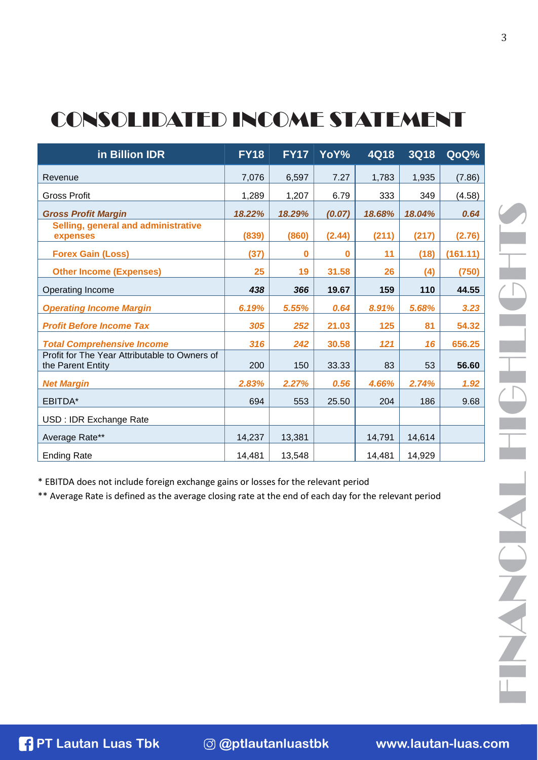### CONSOLIDATED INCOME STATEMENT

| in Billion IDR                                                     | <b>FY18</b> | <b>FY17</b> | YoY%   | <b>4Q18</b> | <b>3Q18</b> | QoQ%     |
|--------------------------------------------------------------------|-------------|-------------|--------|-------------|-------------|----------|
| Revenue                                                            | 7,076       | 6,597       | 7.27   | 1,783       | 1,935       | (7.86)   |
| <b>Gross Profit</b>                                                | 1,289       | 1,207       | 6.79   | 333         | 349         | (4.58)   |
| <b>Gross Profit Margin</b>                                         | 18.22%      | 18.29%      | (0.07) | 18.68%      | 18.04%      | 0.64     |
| Selling, general and administrative<br>expenses                    | (839)       | (860)       | (2.44) | (211)       | (217)       | (2.76)   |
| <b>Forex Gain (Loss)</b>                                           | (37)        | 0           | 0      | 11          | (18)        | (161.11) |
| <b>Other Income (Expenses)</b>                                     | 25          | 19          | 31.58  | 26          | (4)         | (750)    |
| Operating Income                                                   | 438         | 366         | 19.67  | 159         | 110         | 44.55    |
| <b>Operating Income Margin</b>                                     | 6.19%       | 5.55%       | 0.64   | 8.91%       | 5.68%       | 3.23     |
| <b>Profit Before Income Tax</b>                                    | 305         | 252         | 21.03  | 125         | 81          | 54.32    |
| <b>Total Comprehensive Income</b>                                  | 316         | 242         | 30.58  | 121         | 16          | 656.25   |
| Profit for The Year Attributable to Owners of<br>the Parent Entity | 200         | 150         | 33.33  | 83          | 53          | 56.60    |
| <b>Net Margin</b>                                                  | 2.83%       | 2.27%       | 0.56   | 4.66%       | 2.74%       | 1.92     |
| EBITDA*                                                            | 694         | 553         | 25.50  | 204         | 186         | 9.68     |
| USD : IDR Exchange Rate                                            |             |             |        |             |             |          |
| Average Rate**                                                     | 14,237      | 13,381      |        | 14,791      | 14,614      |          |
| <b>Ending Rate</b>                                                 | 14,481      | 13,548      |        | 14,481      | 14,929      |          |

\* EBITDA does not include foreign exchange gains or losses for the relevant period

\*\* Average Rate is defined as the average closing rate at the end of each day for the relevant period

**PT Lautan Luas Tbk @ptlautanluastbk [www.lautan-luas.com](http://www.lautan-luas.com/)** FI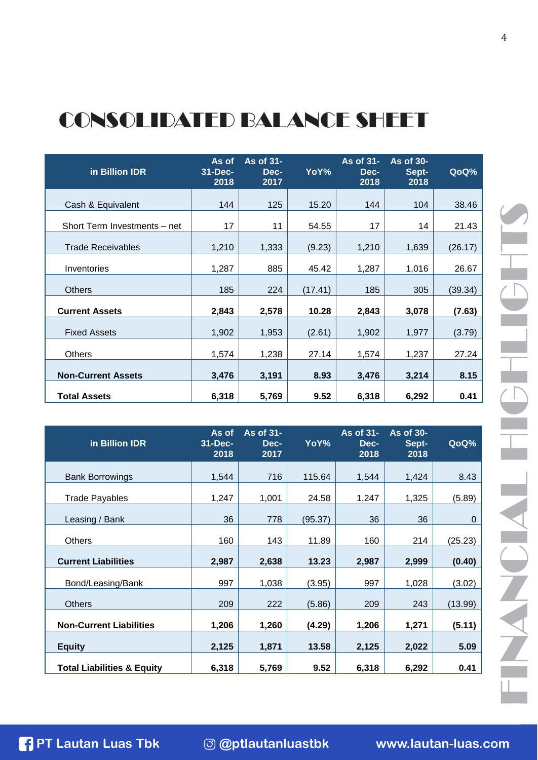#### CONSOLIDATED BALANCE SHEET

| in Billion IDR               | As of<br>$31 - Dec-$<br>2018 | As of 31-<br>Dec-<br>2017 | YoY%    | As of 31-<br>Dec-<br>2018 | As of 30-<br>Sept-<br>2018 | QoQ%    |
|------------------------------|------------------------------|---------------------------|---------|---------------------------|----------------------------|---------|
| Cash & Equivalent            | 144                          | 125                       | 15.20   | 144                       | 104                        | 38.46   |
| Short Term Investments - net | 17                           | 11                        | 54.55   | 17                        | 14                         | 21.43   |
| <b>Trade Receivables</b>     | 1,210                        | 1,333                     | (9.23)  | 1,210                     | 1,639                      | (26.17) |
| Inventories                  | 1,287                        | 885                       | 45.42   | 1,287                     | 1,016                      | 26.67   |
| <b>Others</b>                | 185                          | 224                       | (17.41) | 185                       | 305                        | (39.34) |
| <b>Current Assets</b>        | 2,843                        | 2,578                     | 10.28   | 2,843                     | 3,078                      | (7.63)  |
| <b>Fixed Assets</b>          | 1,902                        | 1,953                     | (2.61)  | 1,902                     | 1,977                      | (3.79)  |
| <b>Others</b>                | 1,574                        | 1,238                     | 27.14   | 1,574                     | 1,237                      | 27.24   |
| <b>Non-Current Assets</b>    | 3,476                        | 3,191                     | 8.93    | 3,476                     | 3,214                      | 8.15    |
| <b>Total Assets</b>          | 6,318                        | 5,769                     | 9.52    | 6,318                     | 6,292                      | 0.41    |

| in Billion IDR                        | As of<br>31-Dec-<br>2018              | As of 31-<br>Dec-<br>2017 | YoY%    | As of 31-<br>Dec-<br>2018 | As of 30-<br>Sept-<br>2018 | QoQ%    |  |
|---------------------------------------|---------------------------------------|---------------------------|---------|---------------------------|----------------------------|---------|--|
| <b>Bank Borrowings</b>                | 1,544                                 | 716                       | 115.64  | 1,544                     | 1,424                      | 8.43    |  |
| <b>Trade Payables</b>                 | 1,247                                 | 1,001                     | 24.58   | 1,247                     | 1,325                      | (5.89)  |  |
| Leasing / Bank                        | 36                                    | 778                       | (95.37) | 36                        | 36                         | 0       |  |
| Others                                | 160                                   | 143                       | 11.89   | 160                       | 214                        | (25.23) |  |
| <b>Current Liabilities</b>            | 2,987                                 | 2,638                     | 13.23   | 2,987                     | 2,999                      | (0.40)  |  |
| Bond/Leasing/Bank                     | 997                                   | 1,038                     | (3.95)  | 997                       | 1,028                      | (3.02)  |  |
| <b>Others</b>                         | 209                                   | 222                       | (5.86)  | 209                       | 243                        | (13.99) |  |
| <b>Non-Current Liabilities</b>        | 1,206                                 | 1,260                     | (4.29)  | 1,206                     | 1,271                      | (5.11)  |  |
| <b>Equity</b>                         | 2,125                                 | 1,871                     | 13.58   | 2,125                     | 2,022                      | 5.09    |  |
| <b>Total Liabilities &amp; Equity</b> | 6,318                                 | 5,769                     | 9.52    | 6,318                     | 6,292                      | 0.41    |  |
|                                       |                                       |                           |         |                           |                            |         |  |
|                                       |                                       |                           |         |                           |                            |         |  |
| <b>PT Lautan Luas Tbk</b>             | <b><i><b>@ptlautanluastbk</b></i></b> |                           |         |                           | www.lautan-luas.com        |         |  |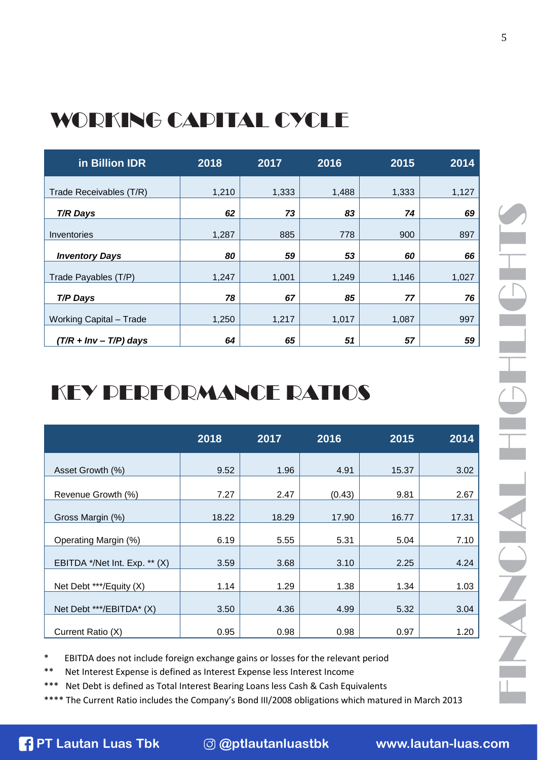#### WORKING CAPITAL CYCLE

| in Billion IDR                 | 2018  | 2017  | 2016  | 2015  | 2014  |
|--------------------------------|-------|-------|-------|-------|-------|
| Trade Receivables (T/R)        | 1,210 | 1,333 | 1,488 | 1,333 | 1,127 |
| <b>T/R Days</b>                | 62    | 73    | 83    | 74    | 69    |
| Inventories                    | 1,287 | 885   | 778   | 900   | 897   |
| <b>Inventory Days</b>          | 80    | 59    | 53    | 60    | 66    |
| Trade Payables (T/P)           | 1,247 | 1,001 | 1,249 | 1,146 | 1,027 |
| T/P Days                       | 78    | 67    | 85    | 77    | 76    |
| <b>Working Capital - Trade</b> | 1,250 | 1,217 | 1,017 | 1,087 | 997   |
| $(T/R + Inv - T/P)$ days       | 64    | 65    | 51    | 57    | 59    |

### KEY PERFORMANCE RATIOS

|                               | 2018  | 2017  | 2016   | 2015  | 2014  |
|-------------------------------|-------|-------|--------|-------|-------|
| Asset Growth (%)              | 9.52  | 1.96  | 4.91   | 15.37 | 3.02  |
| Revenue Growth (%)            | 7.27  | 2.47  | (0.43) | 9.81  | 2.67  |
| Gross Margin (%)              | 18.22 | 18.29 | 17.90  | 16.77 | 17.31 |
| Operating Margin (%)          | 6.19  | 5.55  | 5.31   | 5.04  | 7.10  |
| EBITDA */Net Int. Exp. ** (X) | 3.59  | 3.68  | 3.10   | 2.25  | 4.24  |
| Net Debt ***/Equity (X)       | 1.14  | 1.29  | 1.38   | 1.34  | 1.03  |
| Net Debt ***/EBITDA* (X)      | 3.50  | 4.36  | 4.99   | 5.32  | 3.04  |
| Current Ratio (X)             | 0.95  | 0.98  | 0.98   | 0.97  | 1.20  |

\* EBITDA does not include foreign exchange gains or losses for the relevant period

\*\* Net Interest Expense is defined as Interest Expense less Interest Income

Net Debt is defined as Total Interest Bearing Loans less Cash & Cash Equivalents

**PT Lautan Luas Tbk @@ptlautanluastbk [www.lautan-luas.com](http://www.lautan-luas.com/)**<br> **PT Lautan Luas Tbk @@ptlautanluastbk www.lautan-luas.com** \*\*\*\* The Current Ratio includes the Company's Bond III/2008 obligations which matured in March 2013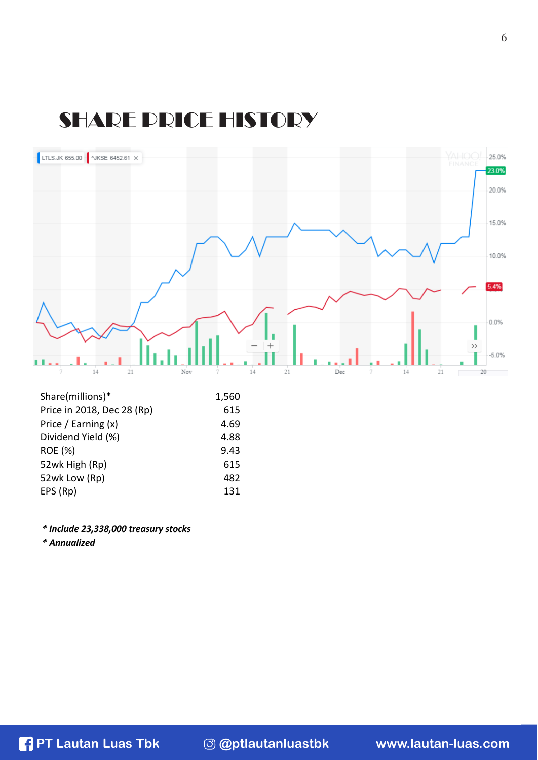#### SHARE PRICE HISTORY



| Share(millions)            | <b>1,500</b> |
|----------------------------|--------------|
| Price in 2018, Dec 28 (Rp) | 615          |
| Price / Earning (x)        | 4.69         |
| Dividend Yield (%)         | 4.88         |
| ROE (%)                    | 9.43         |
| 52wk High (Rp)             | 615          |
| 52wk Low (Rp)              | 482          |
| EPS (Rp)                   | 131          |
|                            |              |

*\* Include 23,338,000 treasury stocks* 

*\* Annualized*

**PT Lautan Luas Tbk @ptlautanluastbk [www.lautan-luas.com](http://www.lautan-luas.com/)**